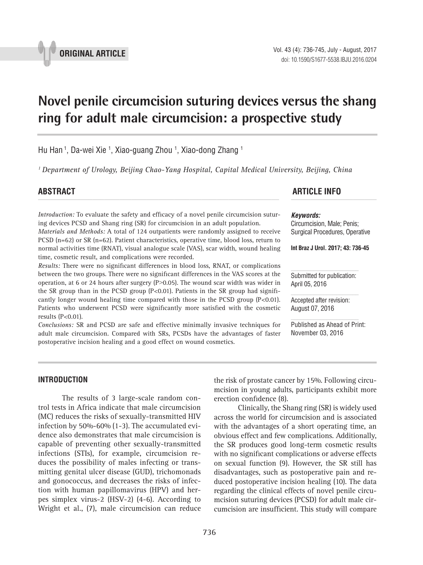

# **Novel penile circumcision suturing devices versus the shang ring for adult male circumcision: a prospective study \_\_\_\_\_\_\_\_\_\_\_\_\_\_\_\_\_\_\_\_\_\_\_\_\_\_\_\_\_\_\_\_\_\_\_\_\_\_\_\_\_\_\_\_\_\_\_**

Hu Han<sup>1</sup>, Da-wei Xie <sup>1</sup>, Xiao-guang Zhou <sup>1</sup>, Xiao-dong Zhang <sup>1</sup>

*1 Department of Urology, Beijing Chao-Yang Hospital, Capital Medical University, Beijing, China*

*Introduction:* To evaluate the safety and efficacy of a novel penile circumcision suturing devices PCSD and Shang ring (SR) for circumcision in an adult population.

*Materials and Methods:* A total of 124 outpatients were randomly assigned to receive PCSD (n=62) or SR (n=62). Patient characteristics, operative time, blood loss, return to normal activities time (RNAT), visual analogue scale (VAS), scar width, wound healing time, cosmetic result, and complications were recorded.

*Results:* There were no significant differences in blood loss, RNAT, or complications between the two groups. There were no significant differences in the VAS scores at the operation, at 6 or 24 hours after surgery (P>0.05). The wound scar width was wider in the SR group than in the PCSD group  $(P<0.01)$ . Patients in the SR group had significantly longer wound healing time compared with those in the PCSD group  $(P<0.01)$ . Patients who underwent PCSD were significantly more satisfied with the cosmetic results (P<0.01).

*Conclusions:* SR and PCSD are safe and effective minimally invasive techniques for adult male circumcision. Compared with SRs, PCSDs have the advantages of faster postoperative incision healing and a good effect on wound cosmetics.

# **ABSTRACT ARTICLE INFO** *\_\_\_\_\_\_\_\_\_\_\_\_\_\_\_\_\_\_\_\_\_\_\_\_\_\_\_\_\_\_\_\_\_\_\_\_\_\_\_\_\_\_\_\_\_\_\_\_\_\_\_\_\_\_\_\_\_\_\_\_\_\_ \_\_\_\_\_\_\_\_\_\_\_\_\_\_\_\_\_\_\_\_\_\_*

#### *Keywords:*

Circumcision, Male; Penis; Surgical Procedures, Operative

**Int Braz J Urol. 2017; 43: 736-45**

Submitted for publication: April 05, 2016

Accepted after revision: August 07, 2016

Published as Ahead of Print: November 03, 2016

# **INTRODUCTION**

The results of 3 large-scale random control tests in Africa indicate that male circumcision (MC) reduces the risks of sexually-transmitted HIV infection by 50%-60% (1-3). The accumulated evidence also demonstrates that male circumcision is capable of preventing other sexually-transmitted infections (STIs), for example, circumcision reduces the possibility of males infecting or transmitting genital ulcer disease (GUD), trichomonads and gonococcus, and decreases the risks of infection with human papillomavirus (HPV) and herpes simplex virus-2 (HSV-2) (4-6). According to Wright et al., (7), male circumcision can reduce the risk of prostate cancer by 15%. Following circumcision in young adults, participants exhibit more erection confidence (8).

Clinically, the Shang ring (SR) is widely used across the world for circumcision and is associated with the advantages of a short operating time, an obvious effect and few complications. Additionally, the SR produces good long-term cosmetic results with no significant complications or adverse effects on sexual function (9). However, the SR still has disadvantages, such as postoperative pain and reduced postoperative incision healing (10). The data regarding the clinical effects of novel penile circumcision suturing devices (PCSD) for adult male circumcision are insufficient. This study will compare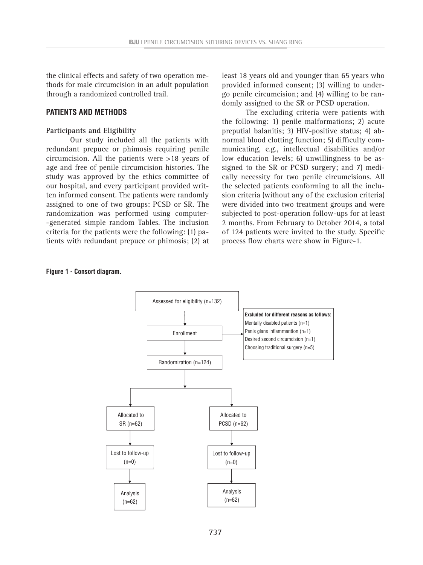the clinical effects and safety of two operation methods for male circumcision in an adult population through a randomized controlled trail.

## **pATIEnTs AnD METhODs**

#### **Participants and Eligibility**

Our study included all the patients with redundant prepuce or phimosis requiring penile circumcision. All the patients were >18 years of age and free of penile circumcision histories. The study was approved by the ethics committee of our hospital, and every participant provided written informed consent. The patients were randomly assigned to one of two groups: PCSD or SR. The randomization was performed using computer- -generated simple random Tables. The inclusion criteria for the patients were the following: (1) patients with redundant prepuce or phimosis; (2) at least 18 years old and younger than 65 years who provided informed consent; (3) willing to undergo penile circumcision; and (4) willing to be randomly assigned to the SR or PCSD operation.

The excluding criteria were patients with the following: 1) penile malformations; 2) acute preputial balanitis; 3) HIV-positive status; 4) abnormal blood clotting function; 5) difficulty communicating, e.g., intellectual disabilities and/or low education levels; 6) unwillingness to be assigned to the SR or PCSD surgery; and 7) medically necessity for two penile circumcisions. All the selected patients conforming to all the inclusion criteria (without any of the exclusion criteria) were divided into two treatment groups and were subjected to post-operation follow-ups for at least 2 months. From February to October 2014, a total of 124 patients were invited to the study. Specific process flow charts were show in Figure-1.

#### **figure 1 - consort diagram.**

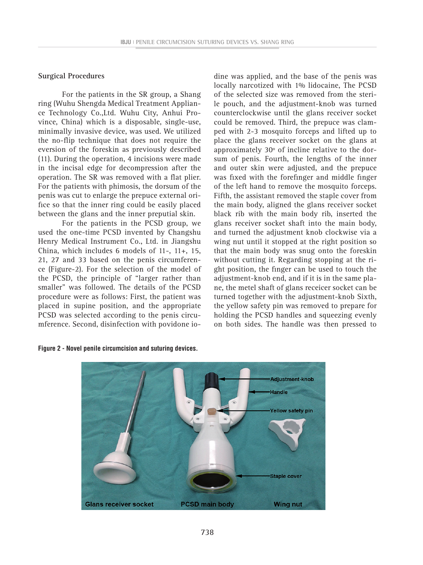# **Surgical Procedures**

For the patients in the SR group, a Shang ring (Wuhu Shengda Medical Treatment Appliance Technology Co.,Ltd. Wuhu City, Anhui Province, China) which is a disposable, single-use, minimally invasive device, was used. We utilized the no-flip technique that does not require the eversion of the foreskin as previously described (11). During the operation, 4 incisions were made in the incisal edge for decompression after the operation. The SR was removed with a flat plier. For the patients with phimosis, the dorsum of the penis was cut to enlarge the prepuce external orifice so that the inner ring could be easily placed between the glans and the inner preputial skin.

For the patients in the PCSD group, we used the one-time PCSD invented by Changshu Henry Medical Instrument Co., Ltd. in Jiangshu China, which includes 6 models of 11-, 11+, 15, 21, 27 and 33 based on the penis circumference (Figure-2). For the selection of the model of the PCSD, the principle of "larger rather than smaller" was followed. The details of the PCSD procedure were as follows: First, the patient was placed in supine position, and the appropriate PCSD was selected according to the penis circumference. Second, disinfection with povidone io-

dine was applied, and the base of the penis was locally narcotized with 1% lidocaine, The PCSD of the selected size was removed from the sterile pouch, and the adjustment-knob was turned counterclockwise until the glans receiver socket could be removed. Third, the prepuce was clamped with 2-3 mosquito forceps and lifted up to place the glans receiver socket on the glans at approximately 30º of incline relative to the dorsum of penis. Fourth, the lengths of the inner and outer skin were adjusted, and the prepuce was fixed with the forefinger and middle finger of the left hand to remove the mosquito forceps. Fifth, the assistant removed the staple cover from the main body, aligned the glans receiver socket black rib with the main body rib, inserted the glans receiver socket shaft into the main body, and turned the adjustment knob clockwise via a wing nut until it stopped at the right position so that the main body was snug onto the foreskin without cutting it. Regarding stopping at the right position, the finger can be used to touch the adjustment-knob end, and if it is in the same plane, the metel shaft of glans receicer socket can be turned together with the adjustment-knob Sixth, the yellow safety pin was removed to prepare for holding the PCSD handles and squeezing evenly on both sides. The handle was then pressed to



**Figure 2 - Novel penile circumcision and suturing devices.**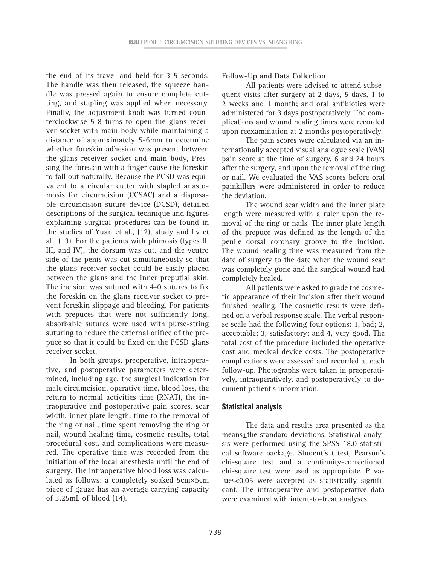the end of its travel and held for 3-5 seconds, The handle was then released, the squeeze handle was pressed again to ensure complete cutting, and stapling was applied when necessary. Finally, the adjustment-knob was turned counterclockwise 5-8 turns to open the glans receiver socket with main body while maintaining a distance of approximately 5-6mm to determine whether foreskin adhesion was present between the glans receiver socket and main body, Pressing the foreskin with a finger cause the foreskin to fall out naturally. Because the PCSD was equivalent to a circular cutter with stapled anastomosis for circumcision (CCSAC) and a disposable circumcision suture device (DCSD), detailed descriptions of the surgical technique and figures explaining surgical procedures can be found in the studies of Yuan et al., (12), study and Lv et al., (13). For the patients with phimosis (types II, III, and IV), the dorsum was cut, and the veutro side of the penis was cut simultaneously so that the glans receiver socket could be easily placed between the glans and the inner preputial skin. The incision was sutured with 4-0 sutures to fix the foreskin on the glans receiver socket to prevent foreskin slippage and bleeding. For patients with prepuces that were not sufficiently long, absorbable sutures were used with purse-string suturing to reduce the external orifice of the prepuce so that it could be fixed on the PCSD glans receiver socket.

In both groups, preoperative, intraoperative, and postoperative parameters were determined, including age, the surgical indication for male circumcision, operative time, blood loss, the return to normal activities time (RNAT), the intraoperative and postoperative pain scores, scar width, inner plate length, time to the removal of the ring or nail, time spent removing the ring or nail, wound healing time, cosmetic results, total procedural cost, and complications were measured. The operative time was recorded from the initiation of the local anesthesia until the end of surgery. The intraoperative blood loss was calculated as follows: a completely soaked 5cm×5cm piece of gauze has an average carrying capacity of 3.25mL of blood (14).

#### **Follow-Up and Data Collection**

All patients were advised to attend subsequent visits after surgery at 2 days, 5 days, 1 to 2 weeks and 1 month; and oral antibiotics were administered for 3 days postoperatively. The complications and wound healing times were recorded upon reexamination at 2 months postoperatively.

The pain scores were calculated via an internationally accepted visual analogue scale (VAS) pain score at the time of surgery, 6 and 24 hours after the surgery, and upon the removal of the ring or nail. We evaluated the VAS scores before oral painkillers were administered in order to reduce the deviation.

The wound scar width and the inner plate length were measured with a ruler upon the removal of the ring or nails. The inner plate length of the prepuce was defined as the length of the penile dorsal coronary groove to the incision. The wound healing time was measured from the date of surgery to the date when the wound scar was completely gone and the surgical wound had completely healed.

All patients were asked to grade the cosmetic appearance of their incision after their wound finished healing. The cosmetic results were defined on a verbal response scale. The verbal response scale had the following four options: 1, bad; 2, acceptable; 3, satisfactory; and 4, very good. The total cost of the procedure included the operative cost and medical device costs. The postoperative complications were assessed and recorded at each follow-up. Photographs were taken in preoperatively, intraoperatively, and postoperatively to document patient's information.

#### **Statistical analysis**

The data and results area presented as the means±the standard deviations. Statistical analysis were performed using the SPSS 18.0 statistical software package. Student's t test, Pearson's chi-square test and a continuity-correctioned chi-square test were used as appropriate. P values<0.05 were accepted as statistically significant. The intraoperative and postoperative data were examined with intent-to-treat analyses.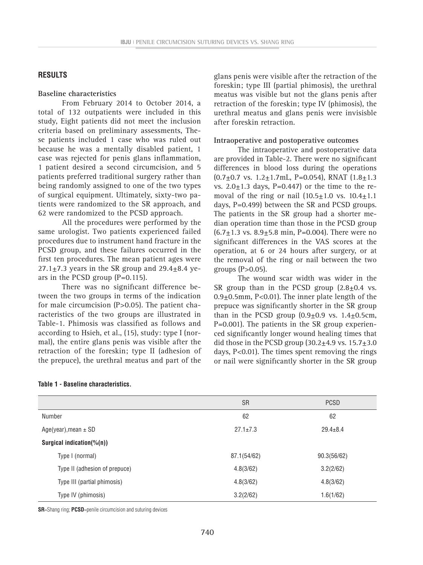# **RESULTS**

#### **Baseline characteristics**

From February 2014 to October 2014, a total of 132 outpatients were included in this study, Eight patients did not meet the inclusion criteria based on preliminary assessments, These patients included 1 case who was ruled out because he was a mentally disabled patient, 1 case was rejected for penis glans inflammation, 1 patient desired a second circumcision, and 5 patients preferred traditional surgery rather than being randomly assigned to one of the two types of surgical equipment. Ultimately, sixty-two patients were randomized to the SR approach, and 62 were randomized to the PCSD approach.

All the procedures were performed by the same urologist. Two patients experienced failed procedures due to instrument hand fracture in the PCSD group, and these failures occurred in the first ten procedures. The mean patient ages were  $27.1\pm7.3$  years in the SR group and  $29.4\pm8.4$  years in the PCSD group (P=0.115).

There was no significant difference between the two groups in terms of the indication for male circumcision (P>0.05). The patient characteristics of the two groups are illustrated in Table-1. Phimosis was classified as follows and according to Hsieh, et al., (15), study: type I (normal), the entire glans penis was visible after the retraction of the foreskin; type II (adhesion of the prepuce), the urethral meatus and part of the

glans penis were visible after the retraction of the foreskin; type III (partial phimosis), the urethral meatus was visible but not the glans penis after retraction of the foreskin; type IV (phimosis), the urethral meatus and glans penis were invisisble after foreskin retraction.

#### **Intraoperative and postoperative outcomes**

The intraoperative and postoperative data are provided in Table-2. There were no significant differences in blood loss during the operations  $(0.7\pm0.7 \text{ vs. } 1.2\pm1.7 \text{ mL}, \text{ P=0.054}), \text{ RNAT } (1.8\pm1.3)$ vs.  $2.0 \pm 1.3$  days, P=0.447) or the time to the removal of the ring or nail  $(10.5 \pm 1.0 \text{ vs. } 10.4 \pm 1.1)$ days, P=0.499) between the SR and PCSD groups. The patients in the SR group had a shorter median operation time than those in the PCSD group  $(6.7 \pm 1.3 \text{ vs. } 8.9 \pm 5.8 \text{ min}, P=0.004)$ . There were no significant differences in the VAS scores at the operation, at 6 or 24 hours after surgery, or at the removal of the ring or nail between the two groups  $(P>0.05)$ .

The wound scar width was wider in the SR group than in the PCSD group  $(2.8+0.4 \text{ vs.})$  $0.9\pm0.5$ mm, P<0.01). The inner plate length of the prepuce was significantly shorter in the SR group than in the PCSD group  $(0.9\pm0.9$  vs.  $1.4\pm0.5$ cm, P=0.001). The patients in the SR group experienced significantly longer wound healing times that did those in the PCSD group  $(30.2+4.9 \text{ vs. } 15.7+3.0)$ days, P<0.01). The times spent removing the rings or nail were significantly shorter in the SR group

|                               | <b>SR</b>      | <b>PCSD</b>    |  |
|-------------------------------|----------------|----------------|--|
| Number                        | 62             | 62             |  |
| Age(year), mean $\pm$ SD      | $27.1 \pm 7.3$ | $29.4 \pm 8.4$ |  |
| Surgical indication( $%$ (n)) |                |                |  |
| Type I (normal)               | 87.1(54/62)    | 90.3(56/62)    |  |
| Type II (adhesion of prepuce) | 4.8(3/62)      | 3.2(2/62)      |  |
| Type III (partial phimosis)   | 4.8(3/62)      | 4.8(3/62)      |  |
| Type IV (phimosis)            | 3.2(2/62)      | 1.6(1/62)      |  |

#### **Table 1 - Baseline characteristics.**

**SR**=Shang ring; **PCSD**=penile circumcision and suturing devices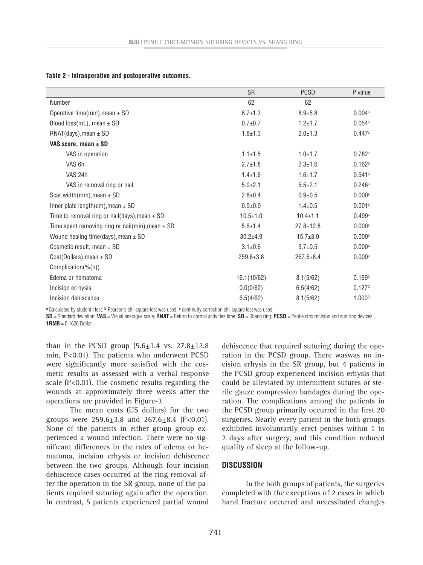|                                                      | <b>SR</b>       | <b>PCSD</b>     | P value              |
|------------------------------------------------------|-----------------|-----------------|----------------------|
| <b>Number</b>                                        | 62              | 62              |                      |
| Operative time(min), mean $\pm$ SD                   | $6.7 \pm 1.3$   | $8.9 \pm 5.8$   | 0.004a               |
| Blood loss(mL), mean $\pm$ SD                        | $0.7 + 0.7$     | $1.2 \pm 1.7$   | $0.054$ <sup>a</sup> |
| $RNAT(days)$ , mean $\pm$ SD                         | $1.8 \pm 1.3$   | $2.0 \pm 1.3$   | 0.447a               |
| VAS score, mean $\pm$ SD                             |                 |                 |                      |
| VAS in operation                                     | $1.1 \pm 1.5$   | $1.0 + 1.7$     | 0.782a               |
| VAS 6h                                               | $2.7 \pm 1.8$   | $2.3 \pm 1.6$   | 0.162a               |
| VAS 24h                                              | $1.4 + 1.6$     | $1.6 + 1.7$     | 0.541a               |
| VAS in removal ring or nail                          | $5.0 \pm 2.1$   | $5.5 \pm 2.1$   | 0.246a               |
| Scar width(mm), mean $\pm$ SD                        | $2.8 \pm 0.4$   | $0.9 + 0.5$     | $0.000$ <sup>a</sup> |
| Inner plate length(cm), mean $\pm$ SD                | $0.9 + 0.9$     | $1.4 \pm 0.5$   | 0.001a               |
| Time to removal ring or nail(days), mean $\pm$ SD    | $10.5 \pm 1.0$  | $10.4 \pm 1.1$  | 0.499a               |
| Time spent removing ring or nail(min), mean $\pm$ SD | $5.6 \pm 1.4$   | $27.8 \pm 12.8$ | $0.000$ <sup>a</sup> |
| Wound healing time(days), mean $\pm$ SD              | $30.2 + 4.9$    | $15.7 + 3.0$    | $0.000$ <sup>a</sup> |
| Cosmetic result, mean $\pm$ SD                       | $3.1 \pm 0.6$   | $3.7 \pm 0.5$   | $0.000$ <sup>a</sup> |
| $Cost(Dollars), mean \pm SD$                         | $259.6 \pm 3.8$ | $267.6 \pm 8.4$ | $0.000$ <sup>a</sup> |
| Complication(% $(n)$ )                               |                 |                 |                      |
| Edema or hematoma                                    | 16.1(10/62)     | 8.1(5/62)       | 0.169 <sup>b</sup>   |
| Incision errhysis                                    | 0.0(0/62)       | 6.5(4/62)       | 0.127c               |
| Incision dehiscence                                  | 6.5(4/62)       | 8.1(5/62)       | 1.000c               |

#### **Table 2 - Intraoperative and postoperative outcomes.**

**<sup>a</sup>**Calculated by student t test; **<sup>b</sup>** Pearson's chi-square test was used; **<sup>c</sup>** continuity correction chi-square test was used.

**SD** = Standard deviation; **VAS** = Visual analogue scale; **RNAT** = Return to normal activities time; **SR** = Shang ring; **PCSD** = Penile circumcision and suturing devices., **1RMB** = 0.1626 Dollar.

than in the PCSD group  $(5.6 \pm 1.4 \text{ vs. } 27.8 \pm 12.8 \text{ s})$ min, P<0.01). The patients who underwent PCSD were significantly more satisfied with the cosmetic results as assessed with a verbal response scale (P<0.01). The cosmetic results regarding the wounds at approximately three weeks after the operations are provided in Figure-3.

The mean costs (US dollars) for the two groups were  $259.6+3.8$  and  $267.6+8.4$  (P<0.01). None of the patients in either group group experienced a wound infection. There were no significant differences in the rates of edema or hematoma, incision erhysis or incision dehiscence between the two groups. Although four incision dehiscence cases occurred at the ring removal after the operation in the SR group, none of the patients required suturing again after the operation. In contrast, 5 patients experienced partial wound

dehiscence that required suturing during the operation in the PCSD group. There waswas no incision erhysis in the SR group, but 4 patients in the PCSD group experienced incision erhysis that could be alleviated by intermittent sutures or sterile gauze compression bandages during the operation. The complications among the patients in the PCSD group primarily occurred in the first 20 surgeries. Nearly every patient in the both groups exhibited involuntarily erect penises within 1 to 2 days after surgery, and this condition reduced quality of sleep at the follow-up.

#### **DISCUSSION**

In the both groups of patients, the surgeries completed with the exceptions of 2 cases in which hand fracture occurred and necessitated changes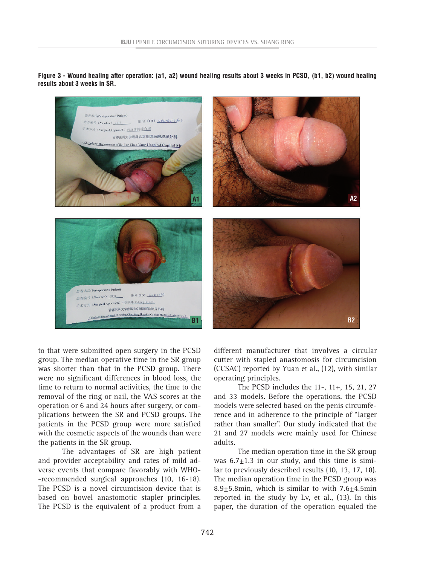**Figure 3 - Wound healing after operation: (a1, a2) wound healing results about 3 weeks in PCSD, (b1, b2) wound healing results about 3 weeks in SR.**



to that were submitted open surgery in the PCSD group. The median operative time in the SR group was shorter than that in the PCSD group. There were no significant differences in blood loss, the time to return to normal activities, the time to the removal of the ring or nail, the VAS scores at the operation or 6 and 24 hours after surgery, or complications between the SR and PCSD groups. The patients in the PCSD group were more satisfied with the cosmetic aspects of the wounds than were the patients in the SR group.

The advantages of SR are high patient and provider acceptability and rates of mild adverse events that compare favorably with WHO- -recommended surgical approaches (10, 16-18). The PCSD is a novel circumcision device that is based on bowel anastomotic stapler principles. The PCSD is the equivalent of a product from a

different manufacturer that involves a circular cutter with stapled anastomosis for circumcision (CCSAC) reported by Yuan et al., (12), with similar operating principles.

The PCSD includes the 11-, 11+, 15, 21, 27 and 33 models. Before the operations, the PCSD models were selected based on the penis circumference and in adherence to the principle of "larger rather than smaller". Our study indicated that the 21 and 27 models were mainly used for Chinese adults.

The median operation time in the SR group was  $6.7 \pm 1.3$  in our study, and this time is similar to previously described results (10, 13, 17, 18). The median operation time in the PCSD group was 8.9 $\pm$ 5.8min, which is similar to with 7.6 $\pm$ 4.5min reported in the study by Lv, et al., (13). In this paper, the duration of the operation equaled the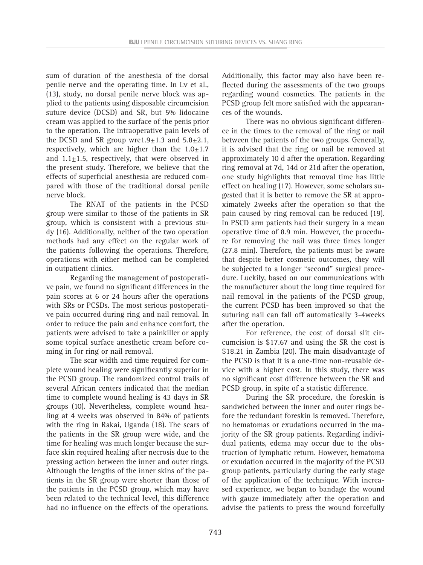sum of duration of the anesthesia of the dorsal penile nerve and the operating time. In Lv et al., (13), study, no dorsal penile nerve block was applied to the patients using disposable circumcision suture device (DCSD) and SR, but 5% lidocaine cream was applied to the surface of the penis prior to the operation. The intraoperative pain levels of the DCSD and SR group wre1.9 $\pm$ 1.3 and 5.8 $\pm$ 2.1, respectively, which are higher than the  $1.0 \pm 1.7$ and  $1.1 \pm 1.5$ , respectively, that were observed in the present study. Therefore, we believe that the effects of superficial anesthesia are reduced compared with those of the traditional dorsal penile nerve block.

The RNAT of the patients in the PCSD group were similar to those of the patients in SR group, which is consistent with a previous study (16). Additionally, neither of the two operation methods had any effect on the regular work of the patients following the operations. Therefore, operations with either method can be completed in outpatient clinics.

Regarding the management of postoperative pain, we found no significant differences in the pain scores at 6 or 24 hours after the operations with SRs or PCSDs. The most serious postoperative pain occurred during ring and nail removal. In order to reduce the pain and enhance comfort, the patients were advised to take a painkiller or apply some topical surface anesthetic cream before coming in for ring or nail removal.

The scar width and time required for complete wound healing were significantly superior in the PCSD group. The randomized control trails of several African centers indicated that the median time to complete wound healing is 43 days in SR groups (10). Nevertheless, complete wound healing at 4 weeks was observed in 84% of patients with the ring in Rakai, Uganda (18). The scars of the patients in the SR group were wide, and the time for healing was much longer because the surface skin required healing after necrosis due to the pressing action between the inner and outer rings. Although the lengths of the inner skins of the patients in the SR group were shorter than those of the patients in the PCSD group, which may have been related to the technical level, this difference had no influence on the effects of the operations. Additionally, this factor may also have been reflected during the assessments of the two groups regarding wound cosmetics. The patients in the PCSD group felt more satisfied with the appearances of the wounds.

There was no obvious significant difference in the times to the removal of the ring or nail between the patients of the two groups. Generally, it is advised that the ring or nail be removed at approximately 10 d after the operation. Regarding ring removal at 7d, 14d or 21d after the operation, one study highlights that removal time has little effect on healing (17). However, some scholars sugested that it is better to remove the SR at approximately 2weeks after the operation so that the pain caused by ring removal can be reduced (19). In PSCD arm patients had their surgery in a mean operative time of 8.9 min. However, the procedure for removing the nail was three times longer (27.8 min). Therefore, the patients must be aware that despite better cosmetic outcomes, they will be subjected to a longer "second" surgical procedure. Luckily, based on our communications with the manufacturer about the long time required for nail removal in the patients of the PCSD group, the current PCSD has been improved so that the suturing nail can fall off automatically 3-4weeks after the operation.

For reference, the cost of dorsal slit circumcision is \$17.67 and using the SR the cost is \$18.21 in Zambia (20). The main disadvantage of the PCSD is that it is a one-time non-reusable device with a higher cost. In this study, there was no significant cost difference between the SR and PCSD group, in spite of a statistic difference.

During the SR procedure, the foreskin is sandwiched between the inner and outer rings before the redundant foreskin is removed. Therefore, no hematomas or exudations occurred in the majority of the SR group patients. Regarding individual patients, edema may occur due to the obstruction of lymphatic return. However, hematoma or exudation occurred in the majority of the PCSD group patients, particularly during the early stage of the application of the technique. With increased experience, we began to bandage the wound with gauze immediately after the operation and advise the patients to press the wound forcefully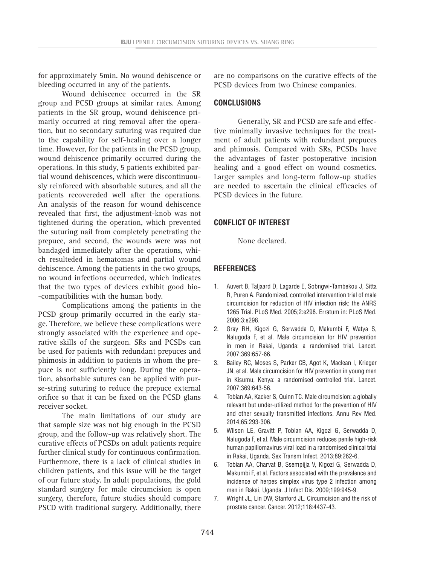for approximately 5min. No wound dehiscence or bleeding occurred in any of the patients.

Wound dehiscence occurred in the SR group and PCSD groups at similar rates. Among patients in the SR group, wound dehiscence primarily occurred at ring removal after the operation, but no secondary suturing was required due to the capability for self-healing over a longer time. However, for the patients in the PCSD group, wound dehiscence primarily occurred during the operations. In this study, 5 patients exhibited partial wound dehiscences, which were discontinuously reinforced with absorbable sutures, and all the patients recovereded well after the operations. An analysis of the reason for wound dehiscence revealed that first, the adjustment-knob was not tightened during the operation, which prevented the suturing nail from completely penetrating the prepuce, and second, the wounds were was not bandaged immediately after the operations, which resulteded in hematomas and partial wound dehiscence. Among the patients in the two groups, no wound infections occurreded, which indicates that the two types of devices exhibit good bio- -compatibilities with the human body.

Complications among the patients in the PCSD group primarily occurred in the early stage. Therefore, we believe these complications were strongly associated with the experience and operative skills of the surgeon. SRs and PCSDs can be used for patients with redundant prepuces and phimosis in addition to patients in whom the prepuce is not sufficiently long. During the operation, absorbable sutures can be applied with purse-string suturing to reduce the prepuce external orifice so that it can be fixed on the PCSD glans receiver socket.

The main limitations of our study are that sample size was not big enough in the PCSD group, and the follow-up was relatively short. The curative effects of PCSDs on adult patients require further clinical study for continuous confirmation. Furthermore, there is a lack of clinical studies in children patients, and this issue will be the target of our future study. In adult populations, the gold standard surgery for male circumcision is open surgery, therefore, future studies should compare PSCD with traditional surgery. Additionally, there

are no comparisons on the curative effects of the PCSD devices from two Chinese companies.

### **CONCLUSIONS**

Generally, SR and PCSD are safe and effective minimally invasive techniques for the treatment of adult patients with redundant prepuces and phimosis. Compared with SRs, PCSDs have the advantages of faster postoperative incision healing and a good effect on wound cosmetics. Larger samples and long-term follow-up studies are needed to ascertain the clinical efficacies of PCSD devices in the future.

### **CONFLICT OF INTEREST**

None declared.

## **REFERENCES**

- 1. Auvert B, Taljaard D, Lagarde E, Sobngwi-Tambekou J, Sitta R, Puren A. Randomized, controlled intervention trial of male circumcision for reduction of HIV infection risk: the ANRS 1265 Trial. PLoS Med. 2005;2:e298. Erratum in: PLoS Med. 2006;3:e298.
- 2. Gray RH, Kigozi G, Serwadda D, Makumbi F, Watya S, Nalugoda F, et al. Male circumcision for HIV prevention in men in Rakai, Uganda: a randomised trial. Lancet. 2007;369:657-66.
- 3. Bailey RC, Moses S, Parker CB, Agot K, Maclean I, Krieger JN, et al. Male circumcision for HIV prevention in young men in Kisumu, Kenya: a randomised controlled trial. Lancet. 2007;369:643-56.
- 4. Tobian AA, Kacker S, Quinn TC. Male circumcision: a globally relevant but under-utilized method for the prevention of HIV and other sexually transmitted infections. Annu Rev Med. 2014;65:293-306.
- 5. Wilson LE, Gravitt P, Tobian AA, Kigozi G, Serwadda D, Nalugoda F, et al. Male circumcision reduces penile high-risk human papillomavirus viral load in a randomised clinical trial in Rakai, Uganda. Sex Transm Infect. 2013;89:262-6.
- 6. Tobian AA, Charvat B, Ssempijja V, Kigozi G, Serwadda D, Makumbi F, et al. Factors associated with the prevalence and incidence of herpes simplex virus type 2 infection among men in Rakai, Uganda. J Infect Dis. 2009;199:945-9.
- 7. Wright JL, Lin DW, Stanford JL. Circumcision and the risk of prostate cancer. Cancer. 2012;118:4437-43.